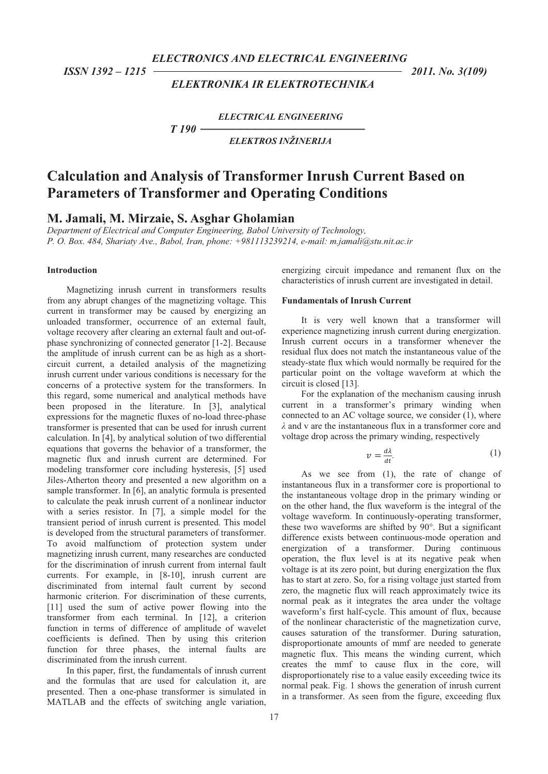*ELECTRONICS AND ELECTRICAL ENGINEERING* 

 *ISSN 1392 – 1215 2011. No. 3(109)* 

# *ELEKTRONIKA IR ELEKTROTECHNIKA*

*ELECTRICAL ENGINEERING T 190 --------------------ELEKTROS INŽINERIJA* 

# **Calculation and Analysis of Transformer Inrush Current Based on Parameters of Transformer and Operating Conditions**

**M. Jamali, M. Mirzaie, S. Asghar Gholamian** 

*Department of Electrical and Computer Engineering, Babol University of Technology, P. O. Box. 484, Shariaty Ave., Babol, Iran, phone: +981113239214, e-mail: m.jamali@stu.nit.ac.ir* 

### **Introduction**

Magnetizing inrush current in transformers results from any abrupt changes of the magnetizing voltage. This current in transformer may be caused by energizing an unloaded transformer, occurrence of an external fault, voltage recovery after clearing an external fault and out-ofphase synchronizing of connected generator [1-2]. Because the amplitude of inrush current can be as high as a shortcircuit current, a detailed analysis of the magnetizing inrush current under various conditions is necessary for the concerns of a protective system for the transformers. In this regard, some numerical and analytical methods have been proposed in the literature. In [3], analytical expressions for the magnetic fluxes of no-load three-phase transformer is presented that can be used for inrush current calculation. In [4], by analytical solution of two differential equations that governs the behavior of a transformer, the magnetic flux and inrush current are determined. For modeling transformer core including hysteresis, [5] used Jiles-Atherton theory and presented a new algorithm on a sample transformer. In [6], an analytic formula is presented to calculate the peak inrush current of a nonlinear inductor with a series resistor. In [7], a simple model for the transient period of inrush current is presented. This model is developed from the structural parameters of transformer. To avoid malfunctiom of protection system under magnetizing inrush current, many researches are conducted for the discrimination of inrush current from internal fault currents. For example, in [8-10], inrush current are discriminated from internal fault current by second harmonic criterion. For discrimination of these currents, [11] used the sum of active power flowing into the transformer from each terminal. In [12], a criterion function in terms of difference of amplitude of wavelet coefficients is defined. Then by using this criterion function for three phases, the internal faults are discriminated from the inrush current.

In this paper, first, the fundamentals of inrush current and the formulas that are used for calculation it, are presented. Then a one-phase transformer is simulated in MATLAB and the effects of switching angle variation,

energizing circuit impedance and remanent flux on the characteristics of inrush current are investigated in detail.

### **Fundamentals of Inrush Current**

*-*

It is very well known that a transformer will experience magnetizing inrush current during energization. Inrush current occurs in a transformer whenever the residual flux does not match the instantaneous value of the steady-state flux which would normally be required for the particular point on the voltage waveform at which the circuit is closed [13].

For the explanation of the mechanism causing inrush current in a transformer's primary winding when connected to an AC voltage source, we consider (1), where  $\lambda$  and v are the instantaneous flux in a transformer core and voltage drop across the primary winding, respectively

$$
v = \frac{d\lambda}{dt}.\tag{1}
$$

As we see from (1), the rate of change of instantaneous flux in a transformer core is proportional to the instantaneous voltage drop in the primary winding or on the other hand, the flux waveform is the integral of the voltage waveform. In continuously-operating transformer, these two waveforms are shifted by 90°. But a significant difference exists between continuous-mode operation and energization of a transformer. During continuous operation, the flux level is at its negative peak when voltage is at its zero point, but during energization the flux has to start at zero. So, for a rising voltage just started from zero, the magnetic flux will reach approximately twice its normal peak as it integrates the area under the voltage waveform's first half-cycle. This amount of flux, because of the nonlinear characteristic of the magnetization curve, causes saturation of the transformer. During saturation, disproportionate amounts of mmf are needed to generate magnetic flux. This means the winding current, which creates the mmf to cause flux in the core, will disproportionately rise to a value easily exceeding twice its normal peak. Fig. 1 shows the generation of inrush current in a transformer. As seen from the figure, exceeding flux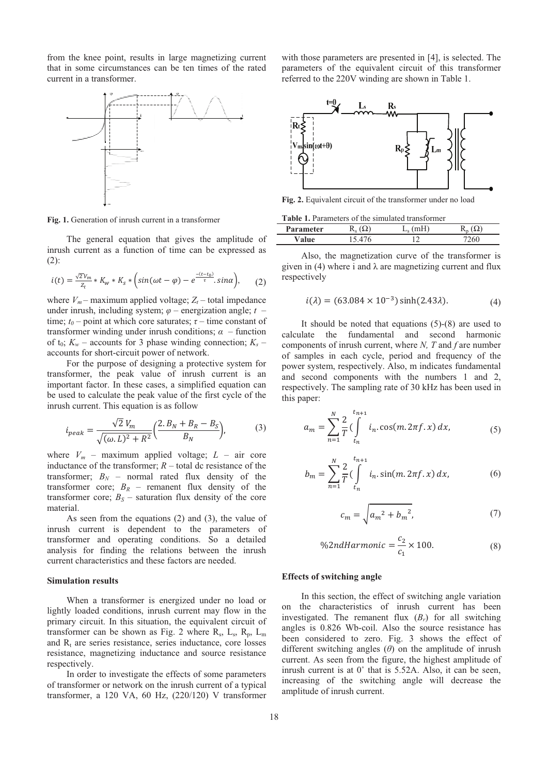from the knee point, results in large magnetizing current that in some circumstances can be ten times of the rated current in a transformer.



**Fig. 1.** Generation of inrush current in a transformer

The general equation that gives the amplitude of inrush current as a function of time can be expressed as (2):

$$
i(t) = \frac{\sqrt{2}v_m}{z_t} * K_w * K_s * \left(sin(\omega t - \varphi) - e^{\frac{-(t - t_0)}{\tau}} . sin \alpha \right), \quad (2)
$$

where  $V_m$  – maximum applied voltage;  $Z_t$  – total impedance under inrush, including system;  $\varphi$  – energization angle;  $t$  – time;  $t_0$  – point at which core saturates;  $\tau$  – time constant of transformer winding under inrush conditions;  $\alpha$  – function of  $t_0$ ;  $K_w$  – accounts for 3 phase winding connection;  $K_s$  – accounts for short-circuit power of network.

For the purpose of designing a protective system for transformer, the peak value of inrush current is an important factor. In these cases, a simplified equation can be used to calculate the peak value of the first cycle of the inrush current. This equation is as follow

$$
i_{peak} = \frac{\sqrt{2} V_m}{\sqrt{(\omega L)^2 + R^2}} \left(\frac{2. B_N + B_R - B_S}{B_N}\right),
$$
 (3)

where  $V_m$  – maximum applied voltage;  $L$  – air core inductance of the transformer;  $R$  – total dc resistance of the transformer;  $B_N$  – normal rated flux density of the transformer core;  $B_R$  – remanent flux density of the transformer core;  $B_S$  – saturation flux density of the core material.

As seen from the equations (2) and (3), the value of inrush current is dependent to the parameters of transformer and operating conditions. So a detailed analysis for finding the relations between the inrush current characteristics and these factors are needed.

# **Simulation results**

When a transformer is energized under no load or lightly loaded conditions, inrush current may flow in the primary circuit. In this situation, the equivalent circuit of transformer can be shown as Fig. 2 where  $R_s$ ,  $L_s$ ,  $R_p$ ,  $L_m$ and  $R_t$  are series resistance, series inductance, core losses resistance, magnetizing inductance and source resistance respectively.

In order to investigate the effects of some parameters of transformer or network on the inrush current of a typical transformer, a 120 VA, 60 Hz, (220/120) V transformer

with those parameters are presented in [4], is selected. The parameters of the equivalent circuit of this transformer referred to the 220V winding are shown in Table 1.



**Fig. 2.** Equivalent circuit of the transformer under no load

**Table 1.** Parameters of the simulated transformer

| <b>Parameter</b> |  |  |  |
|------------------|--|--|--|
|                  |  |  |  |

Also, the magnetization curve of the transformer is given in (4) where i and  $\lambda$  are magnetizing current and flux respectively

$$
i(\lambda) = (63.084 \times 10^{-3}) \sinh(2.43\lambda). \tag{4}
$$

It should be noted that equations (5)-(8) are used to calculate the fundamental and second harmonic components of inrush current, where *N, T* and *f* are number of samples in each cycle, period and frequency of the power system, respectively. Also, m indicates fundamental and second components with the numbers 1 and 2, respectively. The sampling rate of 30 kHz has been used in this paper:

$$
a_m = \sum_{n=1}^{N} \frac{2}{T} \left( \int_{t_n}^{t_{n+1}} i_n \cdot \cos(m, 2\pi f, x) \, dx, \right) \tag{5}
$$

$$
b_m = \sum_{n=1}^{N} \frac{2}{T} \left( \int_{t_n}^{t_{n+1}} i_n \sin(m, 2\pi f, x) \, dx \right), \tag{6}
$$

$$
c_m = \sqrt{a_m^2 + b_m^2},
$$
 (7)

%2ndHarmonic = 
$$
\frac{c_2}{c_1} \times 100.
$$
 (8)

#### **Effects of switching angle**

In this section, the effect of switching angle variation on the characteristics of inrush current has been investigated. The remanent flux  $(B_r)$  for all switching angles is 0.826 Wb-coil. Also the source resistance has been considered to zero. Fig. 3 shows the effect of different switching angles  $(\theta)$  on the amplitude of inrush current. As seen from the figure, the highest amplitude of inrush current is at  $0^{\circ}$  that is 5.52A. Also, it can be seen, increasing of the switching angle will decrease the amplitude of inrush current.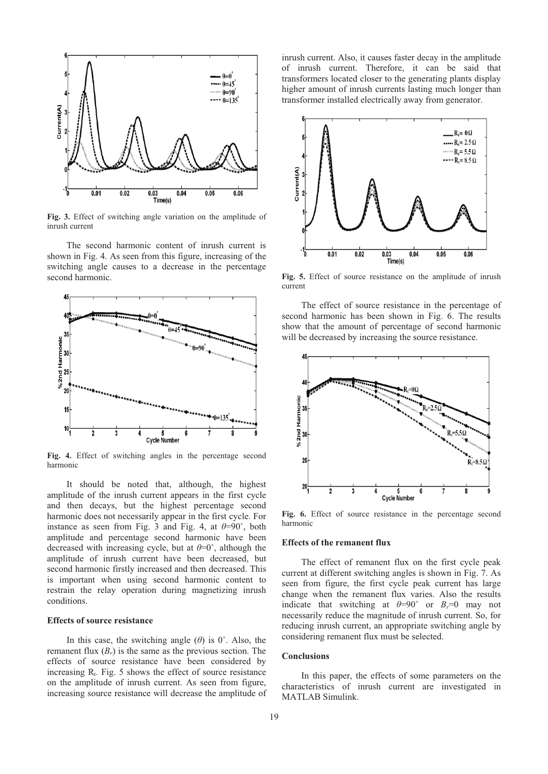

**Fig. 3.** Effect of switching angle variation on the amplitude of inrush current

The second harmonic content of inrush current is shown in Fig. 4. As seen from this figure, increasing of the switching angle causes to a decrease in the percentage second harmonic.



**Fig. 4.** Effect of switching angles in the percentage second harmonic

It should be noted that, although, the highest amplitude of the inrush current appears in the first cycle and then decays, but the highest percentage second harmonic does not necessarily appear in the first cycle. For instance as seen from Fig. 3 and Fig. 4, at  $\theta=90^\circ$ , both amplitude and percentage second harmonic have been decreased with increasing cycle, but at  $\theta=0^{\circ}$ , although the amplitude of inrush current have been decreased, but second harmonic firstly increased and then decreased. This is important when using second harmonic content to restrain the relay operation during magnetizing inrush conditions.

# **Effects of source resistance**

In this case, the switching angle  $(\theta)$  is  $0^\circ$ . Also, the remanent flux  $(B_r)$  is the same as the previous section. The effects of source resistance have been considered by increasing  $R_t$ . Fig. 5 shows the effect of source resistance on the amplitude of inrush current. As seen from figure, increasing source resistance will decrease the amplitude of inrush current. Also, it causes faster decay in the amplitude of inrush current. Therefore, it can be said that transformers located closer to the generating plants display higher amount of inrush currents lasting much longer than transformer installed electrically away from generator.



**Fig. 5.** Effect of source resistance on the amplitude of inrush current

The effect of source resistance in the percentage of second harmonic has been shown in Fig. 6. The results show that the amount of percentage of second harmonic will be decreased by increasing the source resistance.



**Fig. 6.** Effect of source resistance in the percentage second harmonic

# **Effects of the remanent flux**

The effect of remanent flux on the first cycle peak current at different switching angles is shown in Fig. 7. As seen from figure, the first cycle peak current has large change when the remanent flux varies. Also the results indicate that switching at  $\theta=90^\circ$  or  $B_r=0$  may not necessarily reduce the magnitude of inrush current. So, for reducing inrush current, an appropriate switching angle by considering remanent flux must be selected.

#### **Conclusions**

In this paper, the effects of some parameters on the characteristics of inrush current are investigated in MATLAB Simulink.